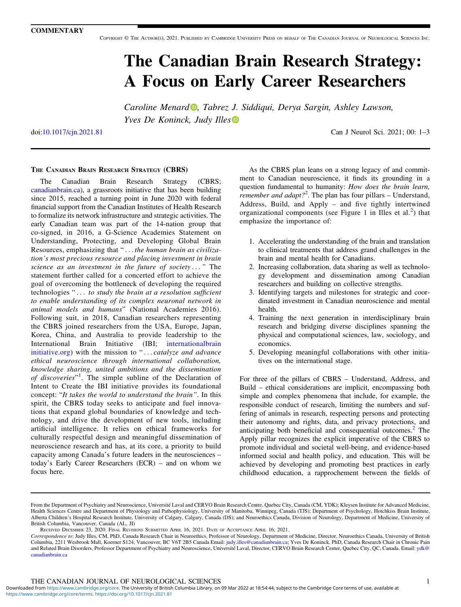# The Canadian Brain Research Strategy: A Focus on Early Career Researchers

Caroline Menar[d](https://orcid.org/0000-0001-8202-7378)<sup>®</sup>, Tabrez J. Siddiqui, Derya Sargin, Ashley Lawson, Yves De Koninck, Judy Illes

doi:[10.1017/cjn.2021.81](https://doi.org/10.1017/cjn.2021.81) Can J Neurol Sci. 2021; 00: 1–3

### THE CANADIAN BRAIN RESEARCH STRATEGY (CBRS)

The Canadian Brain Research Strategy (CBRS; [canadianbrain.ca](http://www.canadianbrain.ca)), a grassroots initiative that has been building since 2015, reached a turning point in June 2020 with federal financial support from the Canadian Institutes of Health Research to formalize its network infrastructure and strategic activities. The early Canadian team was part of the 14-nation group that co-signed, in 2016, a G-Science Academies Statement on Understanding, Protecting, and Developing Global Brain Resources, emphasizing that "...the human brain as civilization's most precious resource and placing investment in brain science as an investment in the future of society..." The statement further called for a concerted effort to achieve the goal of overcoming the bottleneck of developing the required technologies "... to study the brain at a resolution sufficient to enable understanding of its complex neuronal network in animal models and humans" (National Academies 2016). Following suit, in 2018, Canadian researchers representing the CBRS joined researchers from the USA, Europe, Japan, Korea, China, and Australia to provide leadership to the International Brain Initiative (IBI; [internationalbrain](http://internationalbraininitiative.org/) [initiative.org\)](http://internationalbraininitiative.org/) with the mission to "...catalyze and advance ethical neuroscience through international collaboration, knowledge sharing, united ambitions and the dissemination of discoveries"<sup>[1](#page-2-0)</sup>. The simple subline of the Declaration of Intent to Create the IBI initiative provides its foundational concept: "It takes the world to understand the brain". In this spirit, the CBRS today seeks to anticipate and fuel innovations that expand global boundaries of knowledge and technology, and drive the development of new tools, including artificial intelligence. It relies on ethical frameworks for culturally respectful design and meaningful dissemination of neuroscience research and has, at its core, a priority to build capacity among Canada's future leaders in the neurosciences – today's Early Career Researchers (ECR) – and on whom we focus here.

As the CBRS plan leans on a strong legacy of and commitment to Canadian neuroscience, it finds its grounding in a question fundamental to humanity: How does the brain learn, remember and adapt?<sup>[2](#page-2-0)</sup>. The plan has four pillars  $-$  Understand, Address, Build, and Apply – and five tightly intertwined organizational components (see Figure 1 in Illes et al.<sup>[2](#page-2-0)</sup>) that emphasize the importance of:

- 1. Accelerating the understanding of the brain and translation to clinical treatments that address grand challenges in the brain and mental health for Canadians.
- 2. Increasing collaboration, data sharing as well as technology development and dissemination among Canadian researchers and building on collective strengths.
- 3. Identifying targets and milestones for strategic and coordinated investment in Canadian neuroscience and mental health.
- 4. Training the next generation in interdisciplinary brain research and bridging diverse disciplines spanning the physical and computational sciences, law, sociology, and economics.
- 5. Developing meaningful collaborations with other initiatives on the international stage.

For three of the pillars of CBRS – Understand, Address, and Build – ethical considerations are implicit, encompassing both simple and complex phenomena that include, for example, the responsible conduct of research, limiting the numbers and suffering of animals in research, respecting persons and protecting their autonomy and rights, data, and privacy protections, and anticipating both beneficial and consequential outcomes.<sup>[2](#page-2-0)</sup> The Apply pillar recognizes the explicit imperative of the CBRS to promote individual and societal well-being, and evidence-based informed social and health policy, and education. This will be achieved by developing and promoting best practices in early childhood education, a rapprochement between the fields of

THE CANADIAN JOURNAL OF NEUROLOGICAL SCIENCES 1

From the Department of Psychiatry and Neuroscience, Université Laval and CERVO Brain Research Centre, Quebec City, Canada (CM, YDK); Kleysen Institute for Advanced Medicine, Health Sciences Centre and Department of Physiology and Pathophysiology, University of Manitoba, Winnipeg, Canada (TJS); Department of Psychology, Hotchkiss Brain Institute, Alberta Children's Hospital Research Institute, University of Calgary, Calgary, Canada (DS); and Neuroethics Canada, Division of Neurology, Department of Medicine, University of British Columbia, Vancouver, Canada (AL, JI)

RECEIVED DECEMBER 23, 2020. FINAL REVISIONS SUBMITTED APRIL 16, 2021. DATE OF ACCEPTANCE APRIL 16, 2021.

Correspondence to: Judy Illes, CM, PhD, Canada Research Chair in Neuroethics, Professor of Neurology, Department of Medicine, Director, Neuroethics Canada, University of British Columbia, 2211 Wesbrook Mall, Koerner S124, Vancouver, BC V6T 2B5 Canada Email: [judy.illes@canadianbrain.ca;](mailto:judy.illes@canadianbrain.ca) Yves De Koninck, PhD, Canada Research Chair in Chronic Pain and Related Brain Disorders, Professor Department of Psychiatry and Neuroscience, Université Laval, Director, CERVO Brain Research Center, Quebec City, QC, Canada. Email: [ydk@](mailto:ydk@canadianbrain.ca) [canadianbrain.ca](mailto:ydk@canadianbrain.ca)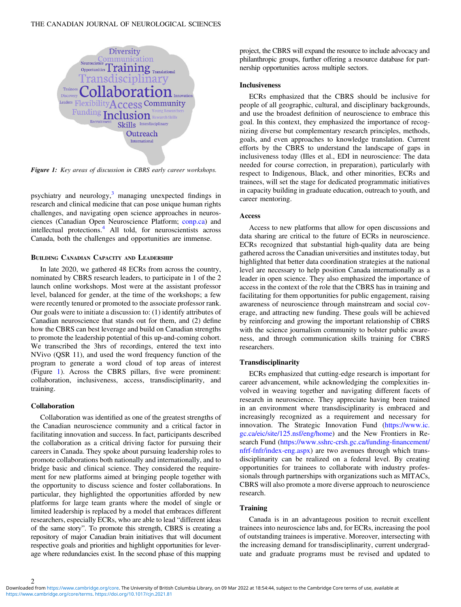

Figure 1: Key areas of discussion in CBRS early career workshops.

psychiatry and neurology, $3$  managing unexpected findings in research and clinical medicine that can pose unique human rights challenges, and navigating open science approaches in neurosciences (Canadian Open Neuroscience Platform; [conp.ca\)](http://www.conp.ca) and intellectual protections.[4](#page-2-0) All told, for neuroscientists across Canada, both the challenges and opportunities are immense.

## BUILDING CANADIAN CAPACITY AND LEADERSHIP

In late 2020, we gathered 48 ECRs from across the country, nominated by CBRS research leaders, to participate in 1 of the 2 launch online workshops. Most were at the assistant professor level, balanced for gender, at the time of the workshops; a few were recently tenured or promoted to the associate professor rank. Our goals were to initiate a discussion to: (1) identify attributes of Canadian neuroscience that stands out for them, and (2) define how the CBRS can best leverage and build on Canadian strengths to promote the leadership potential of this up-and-coming cohort. We transcribed the 3hrs of recordings, entered the text into NVivo (QSR 11), and used the word frequency function of the program to generate a word cloud of top areas of interest (Figure 1). Across the CBRS pillars, five were prominent: collaboration, inclusiveness, access, transdisciplinarity, and training.

## Collaboration

Collaboration was identified as one of the greatest strengths of the Canadian neuroscience community and a critical factor in facilitating innovation and success. In fact, participants described the collaboration as a critical driving factor for pursuing their careers in Canada. They spoke about pursuing leadership roles to promote collaborations both nationally and internationally, and to bridge basic and clinical science. They considered the requirement for new platforms aimed at bringing people together with the opportunity to discuss science and foster collaborations. In particular, they highlighted the opportunities afforded by new platforms for large team grants where the model of single or limited leadership is replaced by a model that embraces different researchers, especially ECRs, who are able to lead "different ideas of the same story". To promote this strength, CBRS is creating a repository of major Canadian brain initiatives that will document respective goals and priorities and highlight opportunities for leverage where redundancies exist. In the second phase of this mapping

project, the CBRS will expand the resource to include advocacy and philanthropic groups, further offering a resource database for partnership opportunities across multiple sectors.

## Inclusiveness

ECRs emphasized that the CBRS should be inclusive for people of all geographic, cultural, and disciplinary backgrounds, and use the broadest definition of neuroscience to embrace this goal. In this context, they emphasized the importance of recognizing diverse but complementary research principles, methods, goals, and even approaches to knowledge translation. Current efforts by the CBRS to understand the landscape of gaps in inclusiveness today (Illes et al., EDI in neuroscience: The data needed for course correction, in preparation), particularly with respect to Indigenous, Black, and other minorities, ECRs and trainees, will set the stage for dedicated programmatic initiatives in capacity building in graduate education, outreach to youth, and career mentoring.

## Access

Access to new platforms that allow for open discussions and data sharing are critical to the future of ECRs in neuroscience. ECRs recognized that substantial high-quality data are being gathered across the Canadian universities and institutes today, but highlighted that better data coordination strategies at the national level are necessary to help position Canada internationally as a leader in open science. They also emphasized the importance of access in the context of the role that the CBRS has in training and facilitating for them opportunities for public engagement, raising awareness of neuroscience through mainstream and social coverage, and attracting new funding. These goals will be achieved by reinforcing and growing the important relationship of CBRS with the science journalism community to bolster public awareness, and through communication skills training for CBRS researchers.

# **Transdisciplinarity**

ECRs emphasized that cutting-edge research is important for career advancement, while acknowledging the complexities involved in weaving together and navigating different facets of research in neuroscience. They appreciate having been trained in an environment where transdisciplinarity is embraced and increasingly recognized as a requirement and necessary for innovation. The Strategic Innovation Fund [\(https://www.ic.](https://www.ic.gc.ca/eic/site/125.nsf/eng/home) [gc.ca/eic/site/125.nsf/eng/home](https://www.ic.gc.ca/eic/site/125.nsf/eng/home)) and the New Frontiers in Research Fund [\(https://www.sshrc-crsh.gc.ca/funding-](https://www.sshrc-crsh.gc.ca/funding-financement/nfrf-fnfr/index-eng.aspx)financement/ [nfrf-fnfr/index-eng.aspx](https://www.sshrc-crsh.gc.ca/funding-financement/nfrf-fnfr/index-eng.aspx)) are two avenues through which transdisciplinarity can be realized on a federal level. By creating opportunities for trainees to collaborate with industry professionals through partnerships with organizations such as MITACs, CBRS will also promote a more diverse approach to neuroscience research.

# Training

Canada is in an advantageous position to recruit excellent trainees into neuroscience labs and, for ECRs, increasing the pool of outstanding trainees is imperative. Moreover, intersecting with the increasing demand for transdisciplinarity, current undergraduate and graduate programs must be revised and updated to